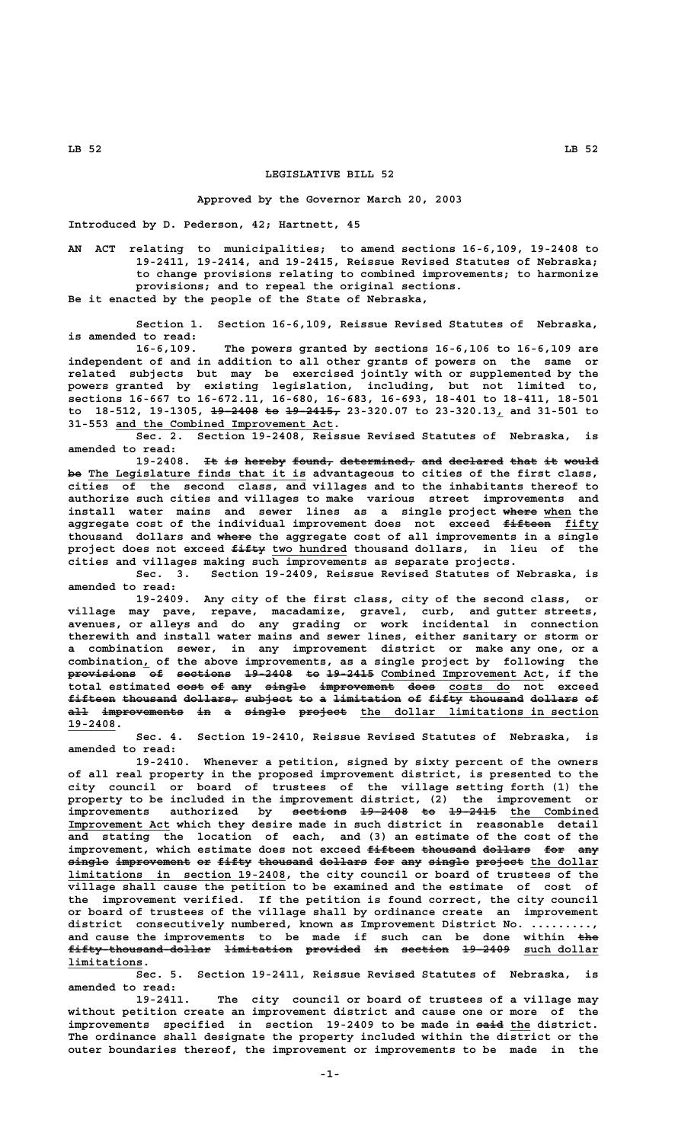## **LEGISLATIVE BILL 52**

## **Approved by the Governor March 20, 2003**

**Introduced by D. Pederson, 42; Hartnett, 45**

**AN ACT relating to municipalities; to amend sections 16-6,109, 19-2408 to 19-2411, 19-2414, and 19-2415, Reissue Revised Statutes of Nebraska; to change provisions relating to combined improvements; to harmonize provisions; and to repeal the original sections. Be it enacted by the people of the State of Nebraska,**

**Section 1. Section 16-6,109, Reissue Revised Statutes of Nebraska, is amended to read:**

**16-6,109. The powers granted by sections 16-6,106 to 16-6,109 are independent of and in addition to all other grants of powers on the same or related subjects but may be exercised jointly with or supplemented by the powers granted by existing legislation, including, but not limited to, sections 16-667 to 16-672.11, 16-680, 16-683, 16-693, 18-401 to 18-411, 18-501** to 18-512, 19-1305, <del>19 2408 to 19 2415,</del> 23-320.07 to 23-320.13, and 31-501 to  **\_\_\_\_\_\_\_\_\_\_\_\_\_\_\_\_\_\_\_\_\_\_\_\_\_\_\_\_\_\_\_\_ 31-553 and the Combined Improvement Act.**

**Sec. 2. Section 19-2408, Reissue Revised Statutes of Nebraska, is amended to read:**

19-2408. It is hereby found, determined, and declared that it would be The Legislature finds that it is advantageous to cities of the first class, **cities of the second class, and villages and to the inhabitants thereof to authorize such cities and villages to make various street improvements and** install water mains and sewer lines as a single project where when the aggregate cost of the individual improvement does not exceed fifteen fifty thousand dollars and where the aggregate cost of all improvements in a single project does not exceed <del>fifty</del> two hundred thousand dollars, in lieu of the **cities and villages making such improvements as separate projects.**

**Sec. 3. Section 19-2409, Reissue Revised Statutes of Nebraska, is amended to read:**

**19-2409. Any city of the first class, city of the second class, or village may pave, repave, macadamize, gravel, curb, and gutter streets, avenues, or alleys and do any grading or work incidental in connection therewith and install water mains and sewer lines, either sanitary or storm or a combination sewer, in any improvement district or make any one, or a \_ combination, of the above improvements, as a single project by following the** provisions of sections 19-2408 to 19-2415 Combined Improvement Act, if the **total estimated <del>cost</del> of any single improvement does costs do not exceed** fifteen thousand dollars, subject to a limitation of fifty thousand dollars of a<del>ll improvements in a single project</del> the dollar limitations in section  **19-2408. \_\_\_\_\_\_\_**

**Sec. 4. Section 19-2410, Reissue Revised Statutes of Nebraska, is amended to read:**

**19-2410. Whenever a petition, signed by sixty percent of the owners of all real property in the proposed improvement district, is presented to the city council or board of trustees of the village setting forth (1) the property to be included in the improvement district, (2) the improvement or** improvements authorized by <del>sections 19-2408 to 19-2415</del> the Combined **Improvement Act** which they desire made in such district in reasonable detail **and stating the location of each, and (3) an estimate of the cost of the** improvement, which estimate does not exceed <del>fifteen thousand dollars</del> for any **single improvement or fifty thousand dollars for any single project the dollar —————— ——————————— —— ————— ———————— ——————— ——— ——— —————— ——————— \_\_\_\_\_\_\_\_\_\_ \_\_\_\_\_\_\_\_\_\_\_\_\_\_\_\_\_\_\_\_\_\_\_\_\_\_\_\_\_\_\_\_ limitations in section 19-2408, the city council or board of trustees of the village shall cause the petition to be examined and the estimate of cost of the improvement verified. If the petition is found correct, the city council or board of trustees of the village shall by ordinance create an improvement district consecutively numbered, known as Improvement District No. .........,** and cause the improvements to be made if such can be done within <del>the</del> **fifty-thousand-dollar limitation provided in section 19-2409 such dollar ————————————————————— —————————— ———————— —— ——————— ——————— \_\_\_\_\_\_\_\_\_\_\_ limitations. \_\_\_\_\_\_\_\_\_\_\_**

**Sec. 5. Section 19-2411, Reissue Revised Statutes of Nebraska, is amended to read:**

**19-2411. The city council or board of trustees of a village may without petition create an improvement district and cause one or more of the** improvements specified in section 19-2409 to be made in said the district. **The ordinance shall designate the property included within the district or the outer boundaries thereof, the improvement or improvements to be made in the**